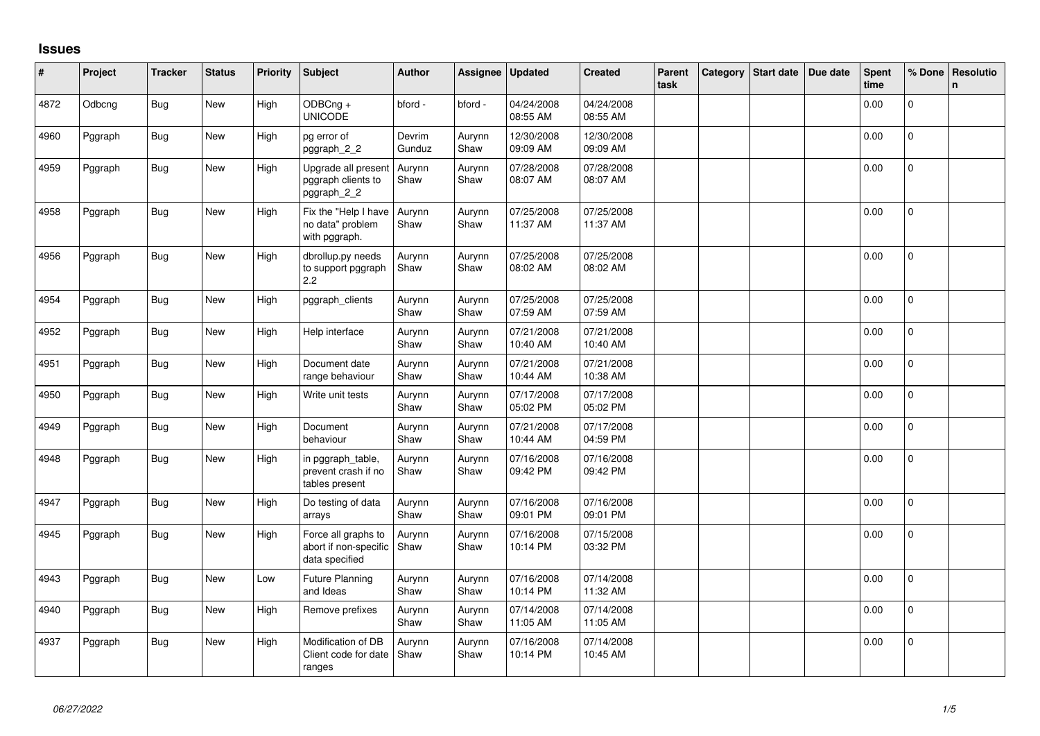## **Issues**

| #    | Project | <b>Tracker</b> | <b>Status</b> | <b>Priority</b> | <b>Subject</b>                                                 | <b>Author</b>    | Assignee       | <b>Updated</b>         | <b>Created</b>         | Parent<br>task | Category | Start date | Due date | Spent<br>time | % Done       | <b>Resolutio</b><br>n |
|------|---------|----------------|---------------|-----------------|----------------------------------------------------------------|------------------|----------------|------------------------|------------------------|----------------|----------|------------|----------|---------------|--------------|-----------------------|
| 4872 | Odbcng  | <b>Bug</b>     | New           | High            | ODBCng +<br><b>UNICODE</b>                                     | bford -          | bford -        | 04/24/2008<br>08:55 AM | 04/24/2008<br>08:55 AM |                |          |            |          | 0.00          | $\Omega$     |                       |
| 4960 | Pggraph | Bug            | New           | High            | pg error of<br>pggraph_2_2                                     | Devrim<br>Gunduz | Aurynn<br>Shaw | 12/30/2008<br>09:09 AM | 12/30/2008<br>09:09 AM |                |          |            |          | 0.00          | 0            |                       |
| 4959 | Pggraph | <b>Bug</b>     | New           | High            | Upgrade all present<br>pggraph clients to<br>pggraph_2_2       | Aurynn<br>Shaw   | Aurynn<br>Shaw | 07/28/2008<br>08:07 AM | 07/28/2008<br>08:07 AM |                |          |            |          | 0.00          | $\Omega$     |                       |
| 4958 | Pggraph | <b>Bug</b>     | New           | High            | Fix the "Help I have<br>no data" problem<br>with pggraph.      | Aurynn<br>Shaw   | Aurynn<br>Shaw | 07/25/2008<br>11:37 AM | 07/25/2008<br>11:37 AM |                |          |            |          | 0.00          | $\mathbf{0}$ |                       |
| 4956 | Pggraph | <b>Bug</b>     | New           | High            | dbrollup.py needs<br>to support pggraph<br>2.2                 | Aurynn<br>Shaw   | Aurynn<br>Shaw | 07/25/2008<br>08:02 AM | 07/25/2008<br>08:02 AM |                |          |            |          | 0.00          | $\mathbf 0$  |                       |
| 4954 | Pggraph | Bug            | New           | High            | pggraph_clients                                                | Aurynn<br>Shaw   | Aurynn<br>Shaw | 07/25/2008<br>07:59 AM | 07/25/2008<br>07:59 AM |                |          |            |          | 0.00          | $\Omega$     |                       |
| 4952 | Pggraph | <b>Bug</b>     | New           | High            | Help interface                                                 | Aurynn<br>Shaw   | Aurynn<br>Shaw | 07/21/2008<br>10:40 AM | 07/21/2008<br>10:40 AM |                |          |            |          | 0.00          | $\Omega$     |                       |
| 4951 | Pggraph | <b>Bug</b>     | <b>New</b>    | High            | Document date<br>range behaviour                               | Aurynn<br>Shaw   | Aurynn<br>Shaw | 07/21/2008<br>10:44 AM | 07/21/2008<br>10:38 AM |                |          |            |          | 0.00          | $\Omega$     |                       |
| 4950 | Pggraph | <b>Bug</b>     | New           | High            | Write unit tests                                               | Aurynn<br>Shaw   | Aurynn<br>Shaw | 07/17/2008<br>05:02 PM | 07/17/2008<br>05:02 PM |                |          |            |          | 0.00          | $\mathbf 0$  |                       |
| 4949 | Pggraph | <b>Bug</b>     | New           | High            | Document<br>behaviour                                          | Aurynn<br>Shaw   | Aurynn<br>Shaw | 07/21/2008<br>10:44 AM | 07/17/2008<br>04:59 PM |                |          |            |          | 0.00          | $\mathbf 0$  |                       |
| 4948 | Pggraph | <b>Bug</b>     | New           | High            | in pggraph table,<br>prevent crash if no<br>tables present     | Aurynn<br>Shaw   | Aurynn<br>Shaw | 07/16/2008<br>09:42 PM | 07/16/2008<br>09:42 PM |                |          |            |          | 0.00          | $\mathbf 0$  |                       |
| 4947 | Pggraph | <b>Bug</b>     | <b>New</b>    | High            | Do testing of data<br>arrays                                   | Aurynn<br>Shaw   | Aurynn<br>Shaw | 07/16/2008<br>09:01 PM | 07/16/2008<br>09:01 PM |                |          |            |          | 0.00          | $\mathbf{0}$ |                       |
| 4945 | Pggraph | <b>Bug</b>     | New           | High            | Force all graphs to<br>abort if non-specific<br>data specified | Aurynn<br>Shaw   | Aurynn<br>Shaw | 07/16/2008<br>10:14 PM | 07/15/2008<br>03:32 PM |                |          |            |          | 0.00          | $\mathbf 0$  |                       |
| 4943 | Pggraph | Bug            | <b>New</b>    | Low             | Future Planning<br>and Ideas                                   | Aurynn<br>Shaw   | Aurynn<br>Shaw | 07/16/2008<br>10:14 PM | 07/14/2008<br>11:32 AM |                |          |            |          | 0.00          | $\Omega$     |                       |
| 4940 | Pggraph | <b>Bug</b>     | New           | High            | Remove prefixes                                                | Aurynn<br>Shaw   | Aurynn<br>Shaw | 07/14/2008<br>11:05 AM | 07/14/2008<br>11:05 AM |                |          |            |          | 0.00          | $\Omega$     |                       |
| 4937 | Pggraph | <b>Bug</b>     | New           | High            | Modification of DB<br>Client code for date<br>ranges           | Aurynn<br>Shaw   | Aurynn<br>Shaw | 07/16/2008<br>10:14 PM | 07/14/2008<br>10:45 AM |                |          |            |          | 0.00          | $\Omega$     |                       |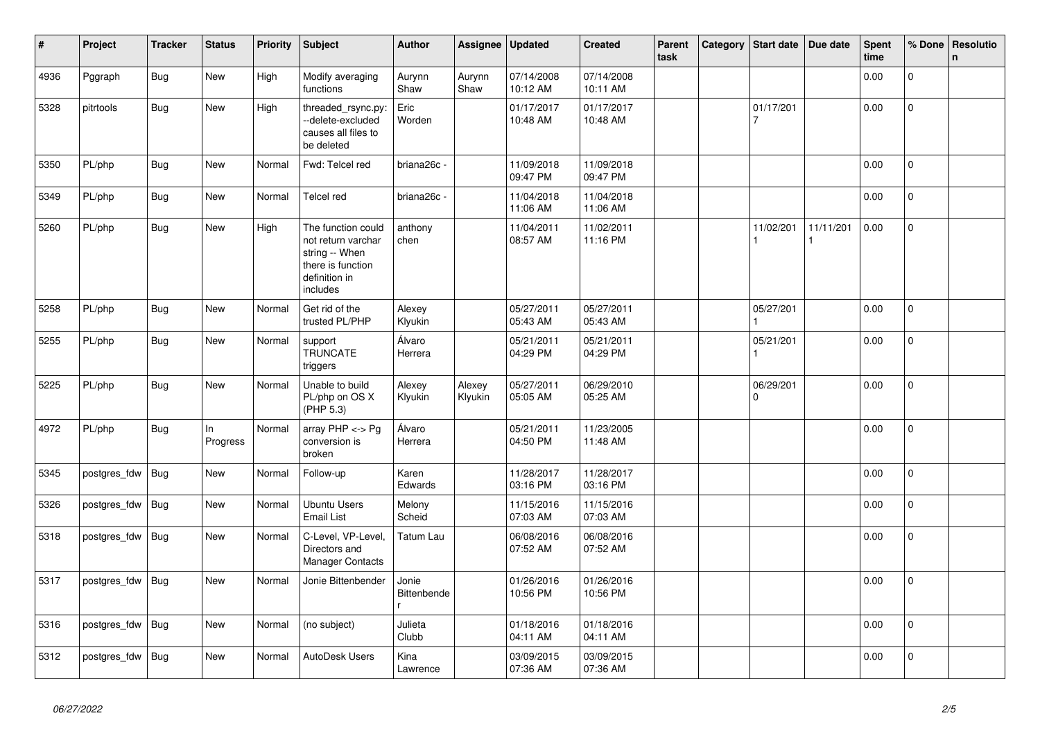| #    | Project      | <b>Tracker</b> | <b>Status</b>  | <b>Priority</b> | <b>Subject</b>                                                                                               | <b>Author</b>        | Assignee          | <b>Updated</b>         | <b>Created</b>         | Parent<br>task | Category | Start date            | Due date  | <b>Spent</b><br>time | % Done       | Resolutio<br>$\mathsf{n}$ |
|------|--------------|----------------|----------------|-----------------|--------------------------------------------------------------------------------------------------------------|----------------------|-------------------|------------------------|------------------------|----------------|----------|-----------------------|-----------|----------------------|--------------|---------------------------|
| 4936 | Pggraph      | <b>Bug</b>     | <b>New</b>     | High            | Modify averaging<br>functions                                                                                | Aurynn<br>Shaw       | Aurynn<br>Shaw    | 07/14/2008<br>10:12 AM | 07/14/2008<br>10:11 AM |                |          |                       |           | 0.00                 | $\mathbf 0$  |                           |
| 5328 | pitrtools    | <b>Bug</b>     | New            | High            | threaded rsync.py:<br>--delete-excluded<br>causes all files to<br>be deleted                                 | Eric<br>Worden       |                   | 01/17/2017<br>10:48 AM | 01/17/2017<br>10:48 AM |                |          | 01/17/201<br>7        |           | 0.00                 | $\mathbf 0$  |                           |
| 5350 | PL/php       | <b>Bug</b>     | New            | Normal          | Fwd: Telcel red                                                                                              | briana26c -          |                   | 11/09/2018<br>09:47 PM | 11/09/2018<br>09:47 PM |                |          |                       |           | 0.00                 | $\Omega$     |                           |
| 5349 | PL/php       | <b>Bug</b>     | <b>New</b>     | Normal          | <b>Telcel red</b>                                                                                            | briana26c -          |                   | 11/04/2018<br>11:06 AM | 11/04/2018<br>11:06 AM |                |          |                       |           | 0.00                 | $\mathbf 0$  |                           |
| 5260 | PL/php       | Bug            | <b>New</b>     | High            | The function could<br>not return varchar<br>string -- When<br>there is function<br>definition in<br>includes | anthony<br>chen      |                   | 11/04/2011<br>08:57 AM | 11/02/2011<br>11:16 PM |                |          | 11/02/201             | 11/11/201 | 0.00                 | $\mathsf{O}$ |                           |
| 5258 | PL/php       | <b>Bug</b>     | <b>New</b>     | Normal          | Get rid of the<br>trusted PL/PHP                                                                             | Alexey<br>Klyukin    |                   | 05/27/2011<br>05:43 AM | 05/27/2011<br>05:43 AM |                |          | 05/27/201             |           | 0.00                 | $\mathbf 0$  |                           |
| 5255 | PL/php       | Bug            | <b>New</b>     | Normal          | support<br><b>TRUNCATE</b><br>triggers                                                                       | Álvaro<br>Herrera    |                   | 05/21/2011<br>04:29 PM | 05/21/2011<br>04:29 PM |                |          | 05/21/201             |           | 0.00                 | $\pmb{0}$    |                           |
| 5225 | PL/php       | <b>Bug</b>     | <b>New</b>     | Normal          | Unable to build<br>PL/php on OS X<br>(PHP 5.3)                                                               | Alexey<br>Klyukin    | Alexey<br>Klyukin | 05/27/2011<br>05:05 AM | 06/29/2010<br>05:25 AM |                |          | 06/29/201<br>$\Omega$ |           | 0.00                 | $\mathbf 0$  |                           |
| 4972 | PL/php       | <b>Bug</b>     | In<br>Progress | Normal          | array $PHP \lt\gt Pg$<br>conversion is<br>broken                                                             | Álvaro<br>Herrera    |                   | 05/21/2011<br>04:50 PM | 11/23/2005<br>11:48 AM |                |          |                       |           | 0.00                 | $\mathbf 0$  |                           |
| 5345 | postgres_fdw | <b>Bug</b>     | <b>New</b>     | Normal          | Follow-up                                                                                                    | Karen<br>Edwards     |                   | 11/28/2017<br>03:16 PM | 11/28/2017<br>03:16 PM |                |          |                       |           | 0.00                 | $\mathbf 0$  |                           |
| 5326 | postgres_fdw | <b>Bug</b>     | <b>New</b>     | Normal          | <b>Ubuntu Users</b><br><b>Email List</b>                                                                     | Melony<br>Scheid     |                   | 11/15/2016<br>07:03 AM | 11/15/2016<br>07:03 AM |                |          |                       |           | 0.00                 | $\mathbf 0$  |                           |
| 5318 | postgres_fdw | Bug            | <b>New</b>     | Normal          | C-Level, VP-Level,<br>Directors and<br><b>Manager Contacts</b>                                               | Tatum Lau            |                   | 06/08/2016<br>07:52 AM | 06/08/2016<br>07:52 AM |                |          |                       |           | 0.00                 | $\mathsf{O}$ |                           |
| 5317 | postgres_fdw | <b>Bug</b>     | New            | Normal          | Jonie Bittenbender                                                                                           | Jonie<br>Bittenbende |                   | 01/26/2016<br>10:56 PM | 01/26/2016<br>10:56 PM |                |          |                       |           | 0.00                 | $\mathbf{0}$ |                           |
| 5316 | postgres_fdw | Bug            | New            | Normal          | (no subject)                                                                                                 | Julieta<br>Clubb     |                   | 01/18/2016<br>04:11 AM | 01/18/2016<br>04:11 AM |                |          |                       |           | 0.00                 | $\Omega$     |                           |
| 5312 | postgres fdw | Bug            | New            | Normal          | AutoDesk Users                                                                                               | Kina<br>Lawrence     |                   | 03/09/2015<br>07:36 AM | 03/09/2015<br>07:36 AM |                |          |                       |           | 0.00                 | $\mathbf{0}$ |                           |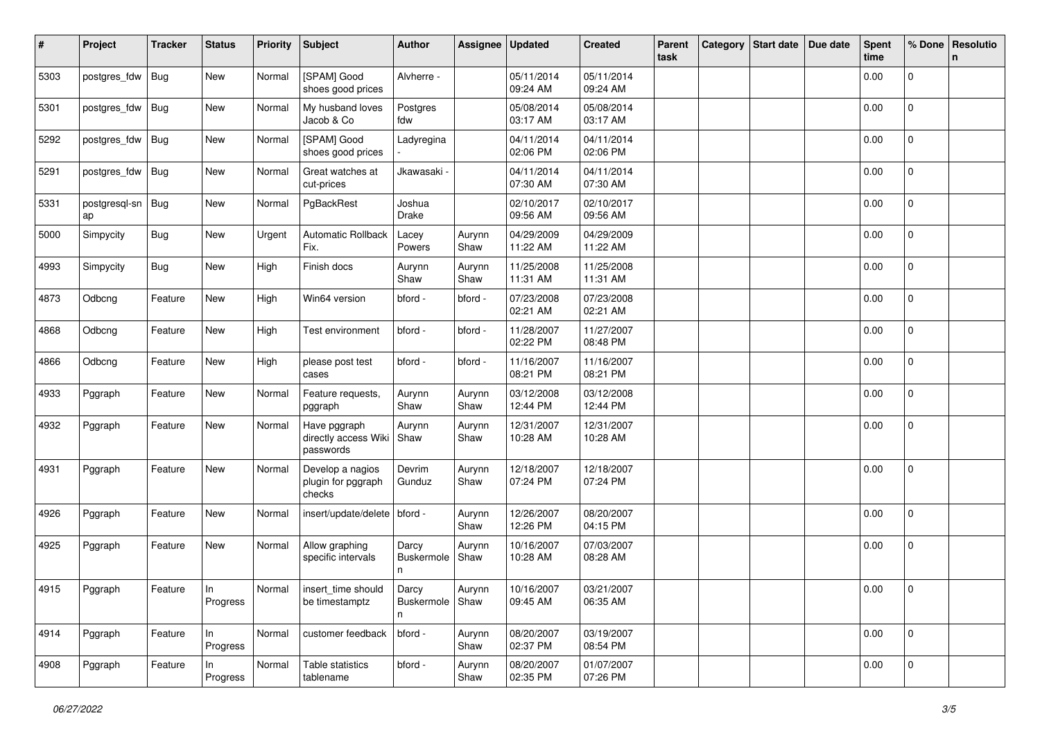| #    | Project                 | <b>Tracker</b> | <b>Status</b>     | <b>Priority</b> | <b>Subject</b>                                    | <b>Author</b>                            | Assignee       | <b>Updated</b>         | <b>Created</b>         | Parent<br>task | Category | Start date   Due date | Spent<br>time | % Done         | Resolutio<br>n |
|------|-------------------------|----------------|-------------------|-----------------|---------------------------------------------------|------------------------------------------|----------------|------------------------|------------------------|----------------|----------|-----------------------|---------------|----------------|----------------|
| 5303 | postgres_fdw            | <b>Bug</b>     | New               | Normal          | [SPAM] Good<br>shoes good prices                  | Alvherre -                               |                | 05/11/2014<br>09:24 AM | 05/11/2014<br>09:24 AM |                |          |                       | 0.00          | $\mathbf 0$    |                |
| 5301 | postgres_fdw            | Bug            | New               | Normal          | My husband loves<br>Jacob & Co                    | Postgres<br>fdw                          |                | 05/08/2014<br>03:17 AM | 05/08/2014<br>03:17 AM |                |          |                       | 0.00          | $\mathbf 0$    |                |
| 5292 | postgres_fdw            | Bug            | New               | Normal          | [SPAM] Good<br>shoes good prices                  | Ladyregina                               |                | 04/11/2014<br>02:06 PM | 04/11/2014<br>02:06 PM |                |          |                       | 0.00          | 0              |                |
| 5291 | postgres_fdw            | <b>Bug</b>     | New               | Normal          | Great watches at<br>cut-prices                    | Jkawasaki -                              |                | 04/11/2014<br>07:30 AM | 04/11/2014<br>07:30 AM |                |          |                       | 0.00          | 0              |                |
| 5331 | postgresql-sn Bug<br>ap |                | New               | Normal          | PgBackRest                                        | Joshua<br>Drake                          |                | 02/10/2017<br>09:56 AM | 02/10/2017<br>09:56 AM |                |          |                       | 0.00          | $\overline{0}$ |                |
| 5000 | Simpycity               | <b>Bug</b>     | New               | Urgent          | Automatic Rollback<br>Fix.                        | Lacey<br>Powers                          | Aurynn<br>Shaw | 04/29/2009<br>11:22 AM | 04/29/2009<br>11:22 AM |                |          |                       | 0.00          | 0              |                |
| 4993 | Simpycity               | <b>Bug</b>     | New               | High            | Finish docs                                       | Aurynn<br>Shaw                           | Aurynn<br>Shaw | 11/25/2008<br>11:31 AM | 11/25/2008<br>11:31 AM |                |          |                       | 0.00          | $\mathbf{0}$   |                |
| 4873 | Odbcng                  | Feature        | New               | High            | Win64 version                                     | bford -                                  | bford -        | 07/23/2008<br>02:21 AM | 07/23/2008<br>02:21 AM |                |          |                       | 0.00          | $\mathbf 0$    |                |
| 4868 | Odbcng                  | Feature        | New               | High            | Test environment                                  | bford -                                  | bford -        | 11/28/2007<br>02:22 PM | 11/27/2007<br>08:48 PM |                |          |                       | 0.00          | $\mathbf 0$    |                |
| 4866 | Odbcng                  | Feature        | New               | High            | please post test<br>cases                         | bford -                                  | bford -        | 11/16/2007<br>08:21 PM | 11/16/2007<br>08:21 PM |                |          |                       | 0.00          | 0              |                |
| 4933 | Pggraph                 | Feature        | New               | Normal          | Feature requests.<br>pggraph                      | Aurynn<br>Shaw                           | Aurynn<br>Shaw | 03/12/2008<br>12:44 PM | 03/12/2008<br>12:44 PM |                |          |                       | 0.00          | 0              |                |
| 4932 | Pggraph                 | Feature        | New               | Normal          | Have pggraph<br>directly access Wiki<br>passwords | Aurynn<br>Shaw                           | Aurynn<br>Shaw | 12/31/2007<br>10:28 AM | 12/31/2007<br>10:28 AM |                |          |                       | 0.00          | 0              |                |
| 4931 | Pggraph                 | Feature        | New               | Normal          | Develop a nagios<br>plugin for pggraph<br>checks  | Devrim<br>Gunduz                         | Aurynn<br>Shaw | 12/18/2007<br>07:24 PM | 12/18/2007<br>07:24 PM |                |          |                       | 0.00          | 0              |                |
| 4926 | Pggraph                 | Feature        | New               | Normal          | insert/update/delete   bford -                    |                                          | Aurynn<br>Shaw | 12/26/2007<br>12:26 PM | 08/20/2007<br>04:15 PM |                |          |                       | 0.00          | $\mathbf 0$    |                |
| 4925 | Pggraph                 | Feature        | New               | Normal          | Allow graphing<br>specific intervals              | Darcy<br>Buskermole<br>n                 | Aurynn<br>Shaw | 10/16/2007<br>10:28 AM | 07/03/2007<br>08:28 AM |                |          |                       | 0.00          | $\mathbf 0$    |                |
| 4915 | Pggraph                 | Feature        | $\ln$<br>Progress |                 | Normal   insert_time should<br>be timestamptz     | $\vert$ Darcy<br>Buskermole   Shaw<br>n. | Aurynn         | 10/16/2007<br>09:45 AM | 03/21/2007<br>06:35 AM |                |          |                       | 0.00          | 0              |                |
| 4914 | Pggraph                 | Feature        | In<br>Progress    | Normal          | customer feedback                                 | bford -                                  | Aurynn<br>Shaw | 08/20/2007<br>02:37 PM | 03/19/2007<br>08:54 PM |                |          |                       | 0.00          | $\mathbf{0}$   |                |
| 4908 | Pggraph                 | Feature        | In<br>Progress    | Normal          | Table statistics<br>tablename                     | bford -                                  | Aurynn<br>Shaw | 08/20/2007<br>02:35 PM | 01/07/2007<br>07:26 PM |                |          |                       | 0.00          | $\Omega$       |                |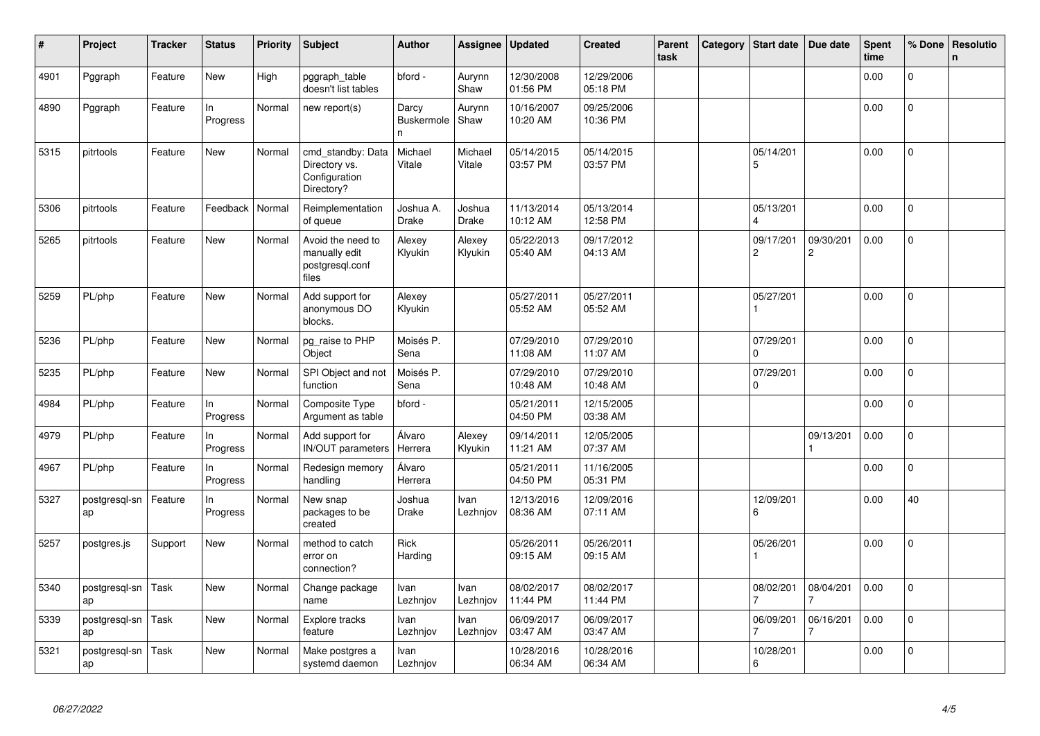| #    | Project             | <b>Tracker</b> | <b>Status</b>   | Priority | Subject                                                           | <b>Author</b>                   | Assignee          | <b>Updated</b>         | <b>Created</b>         | Parent<br>task | Category | <b>Start date</b>           | Due date                    | Spent<br>time | % Done         | <b>Resolutio</b><br>$\mathsf{n}$ |
|------|---------------------|----------------|-----------------|----------|-------------------------------------------------------------------|---------------------------------|-------------------|------------------------|------------------------|----------------|----------|-----------------------------|-----------------------------|---------------|----------------|----------------------------------|
| 4901 | Pggraph             | Feature        | New             | High     | pggraph table<br>doesn't list tables                              | bford -                         | Aurynn<br>Shaw    | 12/30/2008<br>01:56 PM | 12/29/2006<br>05:18 PM |                |          |                             |                             | 0.00          | 0              |                                  |
| 4890 | Pggraph             | Feature        | In<br>Progress  | Normal   | new report(s)                                                     | Darcy<br><b>Buskermole</b><br>n | Aurynn<br>Shaw    | 10/16/2007<br>10:20 AM | 09/25/2006<br>10:36 PM |                |          |                             |                             | 0.00          | $\mathsf{O}$   |                                  |
| 5315 | pitrtools           | Feature        | <b>New</b>      | Normal   | cmd_standby: Data<br>Directory vs.<br>Configuration<br>Directory? | Michael<br>Vitale               | Michael<br>Vitale | 05/14/2015<br>03:57 PM | 05/14/2015<br>03:57 PM |                |          | 05/14/201<br>5              |                             | 0.00          | $\mathbf 0$    |                                  |
| 5306 | pitrtools           | Feature        | Feedback        | Normal   | Reimplementation<br>of queue                                      | Joshua A.<br>Drake              | Joshua<br>Drake   | 11/13/2014<br>10:12 AM | 05/13/2014<br>12:58 PM |                |          | 05/13/201                   |                             | 0.00          | 0              |                                  |
| 5265 | pitrtools           | Feature        | New             | Normal   | Avoid the need to<br>manually edit<br>postgresql.conf<br>files    | Alexey<br>Klyukin               | Alexey<br>Klyukin | 05/22/2013<br>05:40 AM | 09/17/2012<br>04:13 AM |                |          | 09/17/201<br>$\overline{c}$ | 09/30/201<br>$\overline{c}$ | 0.00          | 0              |                                  |
| 5259 | PL/php              | Feature        | New             | Normal   | Add support for<br>anonymous DO<br>blocks.                        | Alexey<br>Klyukin               |                   | 05/27/2011<br>05:52 AM | 05/27/2011<br>05:52 AM |                |          | 05/27/201                   |                             | 0.00          | $\overline{0}$ |                                  |
| 5236 | PL/php              | Feature        | New             | Normal   | pg_raise to PHP<br>Object                                         | Moisés P.<br>Sena               |                   | 07/29/2010<br>11:08 AM | 07/29/2010<br>11:07 AM |                |          | 07/29/201<br>$\Omega$       |                             | 0.00          | $\Omega$       |                                  |
| 5235 | PL/php              | Feature        | <b>New</b>      | Normal   | SPI Object and not<br>function                                    | Moisés P.<br>Sena               |                   | 07/29/2010<br>10:48 AM | 07/29/2010<br>10:48 AM |                |          | 07/29/201<br>$\Omega$       |                             | 0.00          | 0              |                                  |
| 4984 | PL/php              | Feature        | ln.<br>Progress | Normal   | Composite Type<br>Argument as table                               | bford -                         |                   | 05/21/2011<br>04:50 PM | 12/15/2005<br>03:38 AM |                |          |                             |                             | 0.00          | $\overline{0}$ |                                  |
| 4979 | PL/php              | Feature        | ln.<br>Progress | Normal   | Add support for<br>IN/OUT parameters                              | Álvaro<br>Herrera               | Alexey<br>Klyukin | 09/14/2011<br>11:21 AM | 12/05/2005<br>07:37 AM |                |          |                             | 09/13/201                   | 0.00          | $\Omega$       |                                  |
| 4967 | PL/php              | Feature        | In<br>Progress  | Normal   | Redesign memory<br>handling                                       | Álvaro<br>Herrera               |                   | 05/21/2011<br>04:50 PM | 11/16/2005<br>05:31 PM |                |          |                             |                             | 0.00          | $\overline{0}$ |                                  |
| 5327 | postgresql-sn<br>ap | Feature        | In<br>Progress  | Normal   | New snap<br>packages to be<br>created                             | Joshua<br>Drake                 | Ivan<br>Lezhnjov  | 12/13/2016<br>08:36 AM | 12/09/2016<br>07:11 AM |                |          | 12/09/201<br>6              |                             | 0.00          | 40             |                                  |
| 5257 | postgres.js         | Support        | New             | Normal   | method to catch<br>error on<br>connection?                        | Rick<br>Harding                 |                   | 05/26/2011<br>09:15 AM | 05/26/2011<br>09:15 AM |                |          | 05/26/201                   |                             | 0.00          | $\overline{0}$ |                                  |
| 5340 | postgresgl-sn<br>ap | Task           | New             | Normal   | Change package<br>name                                            | Ivan<br>Lezhnjov                | Ivan<br>Lezhnjov  | 08/02/2017<br>11:44 PM | 08/02/2017<br>11:44 PM |                |          | 08/02/201                   | 08/04/201                   | 0.00          | $\mathbf 0$    |                                  |
| 5339 | postgresql-sn<br>ap | Task           | New             | Normal   | Explore tracks<br>feature                                         | Ivan<br>Lezhnjov                | Ivan<br>Lezhnjov  | 06/09/2017<br>03:47 AM | 06/09/2017<br>03:47 AM |                |          | 06/09/201                   | 06/16/201                   | 0.00          | 0              |                                  |
| 5321 | postgresql-sn<br>ap | Task           | New             | Normal   | Make postgres a<br>systemd daemon                                 | Ivan<br>Lezhnjov                |                   | 10/28/2016<br>06:34 AM | 10/28/2016<br>06:34 AM |                |          | 10/28/201<br>6              |                             | 0.00          | $\overline{0}$ |                                  |